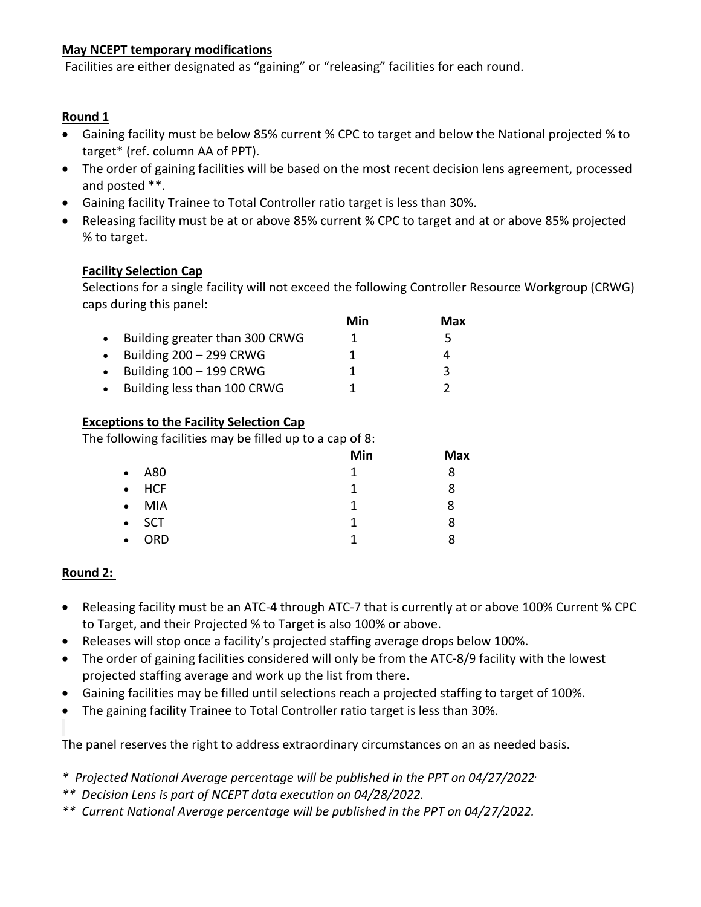## **May NCEPT temporary modifications**

Facilities are either designated as "gaining" or "releasing" facilities for each round.

# **Round 1**

- Gaining facility must be below 85% current % CPC to target and below the National projected % to target\* (ref. column AA of PPT).
- The order of gaining facilities will be based on the most recent decision lens agreement, processed and posted \*\*.
- Gaining facility Trainee to Total Controller ratio target is less than 30%.
- Releasing facility must be at or above 85% current % CPC to target and at or above 85% projected % to target.

# **Facility Selection Cap**

Selections for a single facility will not exceed the following Controller Resource Workgroup (CRWG) caps during this panel:

|                                | Min | Max |
|--------------------------------|-----|-----|
| Building greater than 300 CRWG |     | 5   |
| Building $200 - 299$ CRWG      |     |     |
| Building $100 - 199$ CRWG      |     | ર   |
| Building less than 100 CRWG    |     |     |

## **Exceptions to the Facility Selection Cap**

The following facilities may be filled up to a cap of 8:

|                   | Min | <b>Max</b> |
|-------------------|-----|------------|
| $\bullet$ A80     | 1   | 8          |
| $\bullet$ HCF     | 1   | 8          |
| MIA<br>$\bullet$  | 1   | 8          |
| SCT<br>$\bullet$  | 1   | 8          |
| ORD.<br>$\bullet$ | 1   | ጸ          |

# **Round 2:**

- Releasing facility must be an ATC-4 through ATC-7 that is currently at or above 100% Current % CPC to Target, and their Projected % to Target is also 100% or above.
- Releases will stop once a facility's projected staffing average drops below 100%.
- The order of gaining facilities considered will only be from the ATC-8/9 facility with the lowest projected staffing average and work up the list from there.
- Gaining facilities may be filled until selections reach a projected staffing to target of 100%.
- The gaining facility Trainee to Total Controller ratio target is less than 30%.

The panel reserves the right to address extraordinary circumstances on an as needed basis.

- *\* Projected National Average percentage will be published in the PPT on 04/27/2022.*
- *\*\* Decision Lens is part of NCEPT data execution on 04/28/2022.*
- *\*\* Current National Average percentage will be published in the PPT on 04/27/2022.*